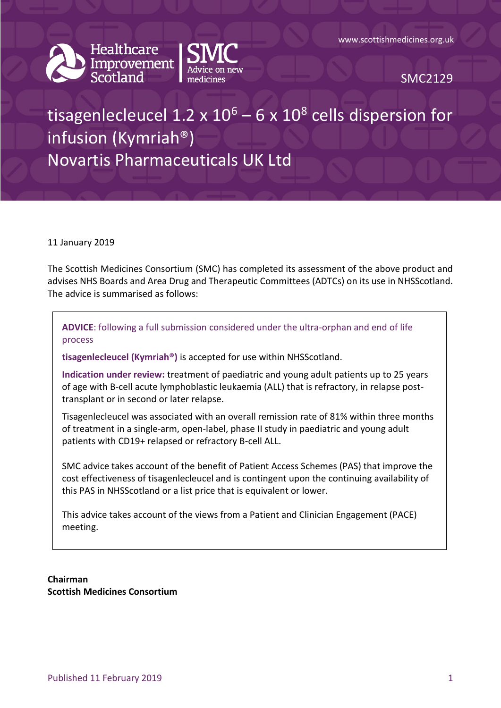



SMC2129

# tisagenlecleucel 1.2 x  $10^6$  – 6 x  $10^8$  cells dispersion for infusion (Kymriah®) Novartis Pharmaceuticals UK Ltd

#### 11 January 2019

The Scottish Medicines Consortium (SMC) has completed its assessment of the above product and advises NHS Boards and Area Drug and Therapeutic Committees (ADTCs) on its use in NHSScotland. The advice is summarised as follows:

**ADVICE**: following a full submission considered under the ultra-orphan and end of life process

**tisagenlecleucel (Kymriah®)** is accepted for use within NHSScotland.

**Indication under review:** treatment of paediatric and young adult patients up to 25 years of age with B-cell acute lymphoblastic leukaemia (ALL) that is refractory, in relapse posttransplant or in second or later relapse.

Tisagenlecleucel was associated with an overall remission rate of 81% within three months of treatment in a single-arm, open-label, phase II study in paediatric and young adult patients with CD19+ relapsed or refractory B-cell ALL.

SMC advice takes account of the benefit of Patient Access Schemes (PAS) that improve the cost effectiveness of tisagenlecleucel and is contingent upon the continuing availability of this PAS in NHSScotland or a list price that is equivalent or lower.

This advice takes account of the views from a Patient and Clinician Engagement (PACE) meeting.

**Chairman Scottish Medicines Consortium**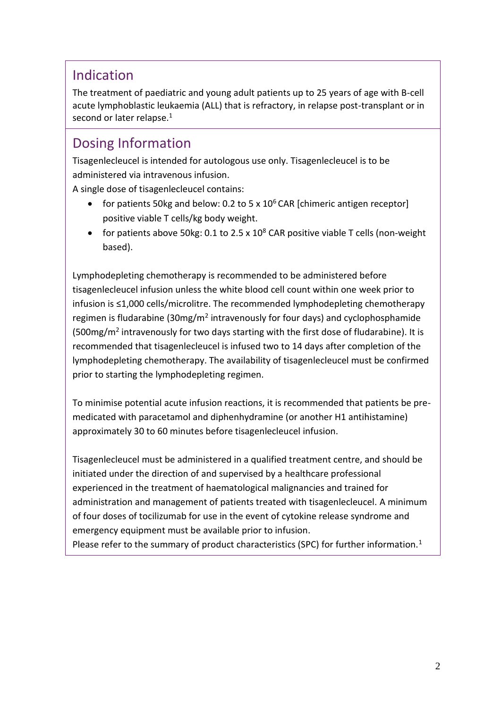### Indication

The treatment of paediatric and young adult patients up to 25 years of age with B-cell acute lymphoblastic leukaemia (ALL) that is refractory, in relapse post-transplant or in second or later relapse.<sup>1</sup>

### Dosing Information

Tisagenlecleucel is intended for autologous use only. Tisagenlecleucel is to be administered via intravenous infusion.

A single dose of tisagenlecleucel contains:

- for patients 50kg and below: 0.2 to 5 x  $10^6$  CAR [chimeric antigen receptor] positive viable T cells/kg body weight.
- for patients above 50kg: 0.1 to 2.5 x  $10^8$  CAR positive viable T cells (non-weight based).

Lymphodepleting chemotherapy is recommended to be administered before tisagenlecleucel infusion unless the white blood cell count within one week prior to infusion is ≤1,000 cells/microlitre. The recommended lymphodepleting chemotherapy regimen is fludarabine (30mg/m<sup>2</sup> intravenously for four days) and cyclophosphamide (500mg/m<sup>2</sup> intravenously for two days starting with the first dose of fludarabine). It is recommended that tisagenlecleucel is infused two to 14 days after completion of the lymphodepleting chemotherapy. The availability of tisagenlecleucel must be confirmed prior to starting the lymphodepleting regimen.

To minimise potential acute infusion reactions, it is recommended that patients be premedicated with paracetamol and diphenhydramine (or another H1 antihistamine) approximately 30 to 60 minutes before tisagenlecleucel infusion.

Tisagenlecleucel must be administered in a qualified treatment centre, and should be initiated under the direction of and supervised by a healthcare professional experienced in the treatment of haematological malignancies and trained for administration and management of patients treated with tisagenlecleucel. A minimum of four doses of tocilizumab for use in the event of cytokine release syndrome and emergency equipment must be available prior to infusion.

Please refer to the summary of product characteristics (SPC) for further information.<sup>1</sup>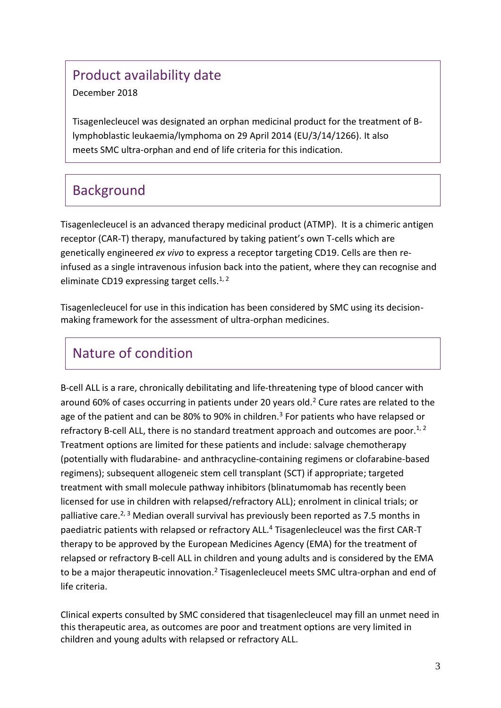# Product availability date

#### December 2018

Tisagenlecleucel was designated an orphan medicinal product for the treatment of Blymphoblastic leukaemia/lymphoma on 29 April 2014 (EU/3/14/1266). It also meets SMC ultra-orphan and end of life criteria for this indication.

# Background

Tisagenlecleucel is an advanced therapy medicinal product (ATMP). It is a chimeric antigen receptor (CAR-T) therapy, manufactured by taking patient's own T-cells which are genetically engineered *ex vivo* to express a receptor targeting CD19. Cells are then reinfused as a single intravenous infusion back into the patient, where they can recognise and eliminate CD19 expressing target cells.<sup>1, 2</sup>

Tisagenlecleucel for use in this indication has been considered by SMC using its decisionmaking framework for the assessment of ultra-orphan medicines.

# Nature of condition

B-cell ALL is a rare, chronically debilitating and life-threatening type of blood cancer with around 60% of cases occurring in patients under 20 years old.<sup>2</sup> Cure rates are related to the age of the patient and can be 80% to 90% in children.<sup>3</sup> For patients who have relapsed or refractory B-cell ALL, there is no standard treatment approach and outcomes are poor.<sup>1, 2</sup> Treatment options are limited for these patients and include: salvage chemotherapy (potentially with fludarabine- and anthracycline-containing regimens or clofarabine-based regimens); subsequent allogeneic stem cell transplant (SCT) if appropriate; targeted treatment with small molecule pathway inhibitors (blinatumomab has recently been licensed for use in children with relapsed/refractory ALL); enrolment in clinical trials; or palliative care.<sup>2, 3</sup> Median overall survival has previously been reported as 7.5 months in paediatric patients with relapsed or refractory ALL.<sup>4</sup> Tisagenlecleucel was the first CAR-T therapy to be approved by the European Medicines Agency (EMA) for the treatment of relapsed or refractory B-cell ALL in children and young adults and is considered by the EMA to be a major therapeutic innovation.<sup>2</sup> Tisagenlecleucel meets SMC ultra-orphan and end of life criteria.

Clinical experts consulted by SMC considered that tisagenlecleucel may fill an unmet need in this therapeutic area, as outcomes are poor and treatment options are very limited in children and young adults with relapsed or refractory ALL.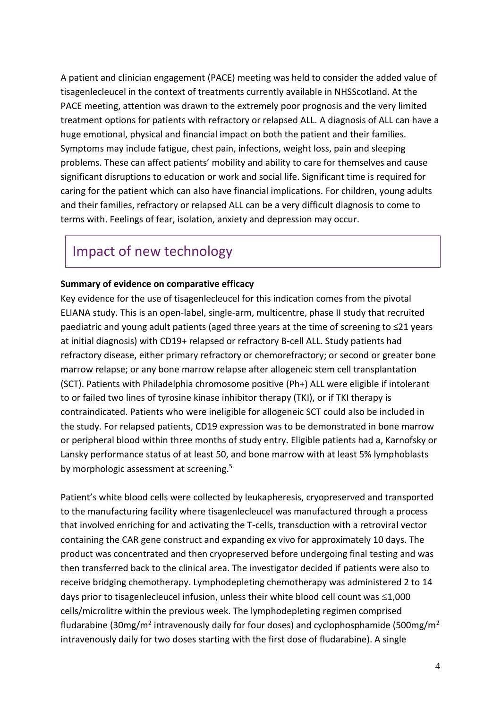A patient and clinician engagement (PACE) meeting was held to consider the added value of tisagenlecleucel in the context of treatments currently available in NHSScotland. At the PACE meeting, attention was drawn to the extremely poor prognosis and the very limited treatment options for patients with refractory or relapsed ALL. A diagnosis of ALL can have a huge emotional, physical and financial impact on both the patient and their families. Symptoms may include fatigue, chest pain, infections, weight loss, pain and sleeping problems. These can affect patients' mobility and ability to care for themselves and cause significant disruptions to education or work and social life. Significant time is required for caring for the patient which can also have financial implications. For children, young adults and their families, refractory or relapsed ALL can be a very difficult diagnosis to come to terms with. Feelings of fear, isolation, anxiety and depression may occur.

### Impact of new technology

#### **Summary of evidence on comparative efficacy**

Key evidence for the use of tisagenlecleucel for this indication comes from the pivotal ELIANA study. This is an open-label, single-arm, multicentre, phase II study that recruited paediatric and young adult patients (aged three years at the time of screening to ≤21 years at initial diagnosis) with CD19+ relapsed or refractory B-cell ALL. Study patients had refractory disease, either primary refractory or chemorefractory; or second or greater bone marrow relapse; or any bone marrow relapse after allogeneic stem cell transplantation (SCT). Patients with Philadelphia chromosome positive (Ph+) ALL were eligible if intolerant to or failed two lines of tyrosine kinase inhibitor therapy (TKI), or if TKI therapy is contraindicated. Patients who were ineligible for allogeneic SCT could also be included in the study. For relapsed patients, CD19 expression was to be demonstrated in bone marrow or peripheral blood within three months of study entry. Eligible patients had a, Karnofsky or Lansky performance status of at least 50, and bone marrow with at least 5% lymphoblasts by morphologic assessment at screening.<sup>5</sup>

Patient's white blood cells were collected by leukapheresis, cryopreserved and transported to the manufacturing facility where tisagenlecleucel was manufactured through a process that involved enriching for and activating the T-cells, transduction with a retroviral vector containing the CAR gene construct and expanding ex vivo for approximately 10 days. The product was concentrated and then cryopreserved before undergoing final testing and was then transferred back to the clinical area. The investigator decided if patients were also to receive bridging chemotherapy. Lymphodepleting chemotherapy was administered 2 to 14 days prior to tisagenlecleucel infusion, unless their white blood cell count was  $\leq 1,000$ cells/microlitre within the previous week. The lymphodepleting regimen comprised fludarabine (30mg/m<sup>2</sup> intravenously daily for four doses) and cyclophosphamide (500mg/m<sup>2</sup> intravenously daily for two doses starting with the first dose of fludarabine). A single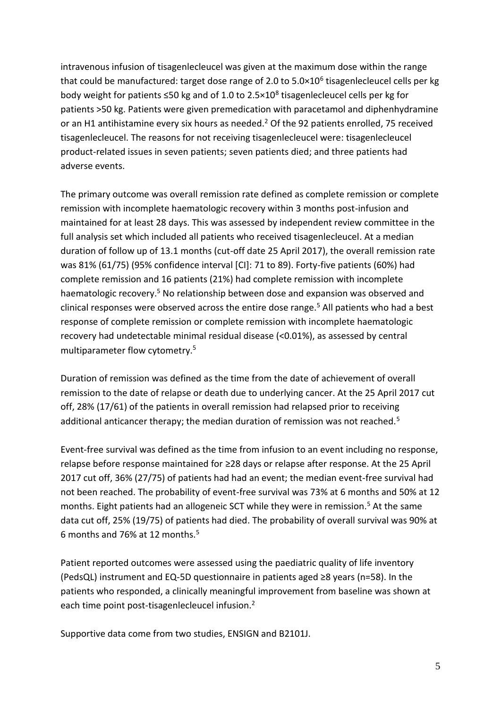intravenous infusion of tisagenlecleucel was given at the maximum dose within the range that could be manufactured: target dose range of 2.0 to 5.0×10<sup>6</sup> tisagenlecleucel cells per kg body weight for patients ≤50 kg and of 1.0 to 2.5×10<sup>8</sup> tisagenlecleucel cells per kg for patients >50 kg. Patients were given premedication with paracetamol and diphenhydramine or an H1 antihistamine every six hours as needed.<sup>2</sup> Of the 92 patients enrolled, 75 received tisagenlecleucel. The reasons for not receiving tisagenlecleucel were: tisagenlecleucel product-related issues in seven patients; seven patients died; and three patients had adverse events.

The primary outcome was overall remission rate defined as complete remission or complete remission with incomplete haematologic recovery within 3 months post-infusion and maintained for at least 28 days. This was assessed by independent review committee in the full analysis set which included all patients who received tisagenlecleucel. At a median duration of follow up of 13.1 months (cut-off date 25 April 2017), the overall remission rate was 81% (61/75) (95% confidence interval [CI]: 71 to 89). Forty-five patients (60%) had complete remission and 16 patients (21%) had complete remission with incomplete haematologic recovery.<sup>5</sup> No relationship between dose and expansion was observed and clinical responses were observed across the entire dose range.<sup>5</sup> All patients who had a best response of complete remission or complete remission with incomplete haematologic recovery had undetectable minimal residual disease (<0.01%), as assessed by central multiparameter flow cytometry.<sup>5</sup>

Duration of remission was defined as the time from the date of achievement of overall remission to the date of relapse or death due to underlying cancer. At the 25 April 2017 cut off, 28% (17/61) of the patients in overall remission had relapsed prior to receiving additional anticancer therapy; the median duration of remission was not reached.<sup>5</sup>

Event-free survival was defined as the time from infusion to an event including no response, relapse before response maintained for ≥28 days or relapse after response. At the 25 April 2017 cut off, 36% (27/75) of patients had had an event; the median event-free survival had not been reached. The probability of event-free survival was 73% at 6 months and 50% at 12 months. Eight patients had an allogeneic SCT while they were in remission.<sup>5</sup> At the same data cut off, 25% (19/75) of patients had died. The probability of overall survival was 90% at 6 months and 76% at 12 months.<sup>5</sup>

Patient reported outcomes were assessed using the paediatric quality of life inventory (PedsQL) instrument and EQ-5D questionnaire in patients aged ≥8 years (n=58). In the patients who responded, a clinically meaningful improvement from baseline was shown at each time point post-tisagenlecleucel infusion.<sup>2</sup>

Supportive data come from two studies, ENSIGN and B2101J.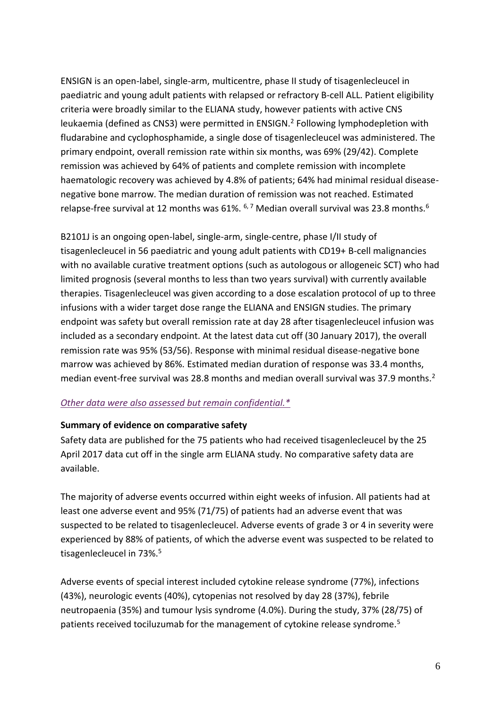ENSIGN is an open-label, single-arm, multicentre, phase II study of tisagenlecleucel in paediatric and young adult patients with relapsed or refractory B-cell ALL. Patient eligibility criteria were broadly similar to the ELIANA study, however patients with active CNS leukaemia (defined as CNS3) were permitted in ENSIGN.<sup>2</sup> Following lymphodepletion with fludarabine and cyclophosphamide, a single dose of tisagenlecleucel was administered. The primary endpoint, overall remission rate within six months, was 69% (29/42). Complete remission was achieved by 64% of patients and complete remission with incomplete haematologic recovery was achieved by 4.8% of patients; 64% had minimal residual diseasenegative bone marrow. The median duration of remission was not reached. Estimated relapse-free survival at 12 months was 61%.  $6.7$  Median overall survival was 23.8 months.  $6$ 

B2101J is an ongoing open-label, single-arm, single-centre, phase I/II study of tisagenlecleucel in 56 paediatric and young adult patients with CD19+ B-cell malignancies with no available curative treatment options (such as autologous or allogeneic SCT) who had limited prognosis (several months to less than two years survival) with currently available therapies. Tisagenlecleucel was given according to a dose escalation protocol of up to three infusions with a wider target dose range the ELIANA and ENSIGN studies. The primary endpoint was safety but overall remission rate at day 28 after tisagenlecleucel infusion was included as a secondary endpoint. At the latest data cut off (30 January 2017), the overall remission rate was 95% (53/56). Response with minimal residual disease-negative bone marrow was achieved by 86%. Estimated median duration of response was 33.4 months, median event-free survival was 28.8 months and median overall survival was 37.9 months.<sup>2</sup>

#### *[Other data were also assessed but remain confidential.\\*](https://www.scottishmedicines.org.uk/media/3572/20180710-release-of-company-data.pdf)*

#### **Summary of evidence on comparative safety**

Safety data are published for the 75 patients who had received tisagenlecleucel by the 25 April 2017 data cut off in the single arm ELIANA study. No comparative safety data are available.

The majority of adverse events occurred within eight weeks of infusion. All patients had at least one adverse event and 95% (71/75) of patients had an adverse event that was suspected to be related to tisagenlecleucel. Adverse events of grade 3 or 4 in severity were experienced by 88% of patients, of which the adverse event was suspected to be related to tisagenlecleucel in 73%.<sup>5</sup>

Adverse events of special interest included cytokine release syndrome (77%), infections (43%), neurologic events (40%), cytopenias not resolved by day 28 (37%), febrile neutropaenia (35%) and tumour lysis syndrome (4.0%). During the study, 37% (28/75) of patients received tociluzumab for the management of cytokine release syndrome.<sup>5</sup>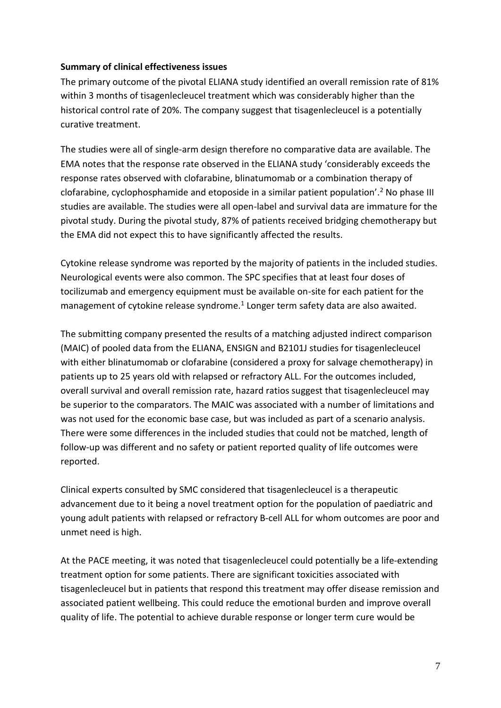#### **Summary of clinical effectiveness issues**

The primary outcome of the pivotal ELIANA study identified an overall remission rate of 81% within 3 months of tisagenlecleucel treatment which was considerably higher than the historical control rate of 20%. The company suggest that tisagenlecleucel is a potentially curative treatment.

The studies were all of single-arm design therefore no comparative data are available. The EMA notes that the response rate observed in the ELIANA study 'considerably exceeds the response rates observed with clofarabine, blinatumomab or a combination therapy of clofarabine, cyclophosphamide and etoposide in a similar patient population'.<sup>2</sup> No phase III studies are available. The studies were all open-label and survival data are immature for the pivotal study. During the pivotal study, 87% of patients received bridging chemotherapy but the EMA did not expect this to have significantly affected the results.

Cytokine release syndrome was reported by the majority of patients in the included studies. Neurological events were also common. The SPC specifies that at least four doses of tocilizumab and emergency equipment must be available on-site for each patient for the management of cytokine release syndrome.<sup>1</sup> Longer term safety data are also awaited.

The submitting company presented the results of a matching adjusted indirect comparison (MAIC) of pooled data from the ELIANA, ENSIGN and B2101J studies for tisagenlecleucel with either blinatumomab or clofarabine (considered a proxy for salvage chemotherapy) in patients up to 25 years old with relapsed or refractory ALL. For the outcomes included, overall survival and overall remission rate, hazard ratios suggest that tisagenlecleucel may be superior to the comparators. The MAIC was associated with a number of limitations and was not used for the economic base case, but was included as part of a scenario analysis. There were some differences in the included studies that could not be matched, length of follow-up was different and no safety or patient reported quality of life outcomes were reported.

Clinical experts consulted by SMC considered that tisagenlecleucel is a therapeutic advancement due to it being a novel treatment option for the population of paediatric and young adult patients with relapsed or refractory B-cell ALL for whom outcomes are poor and unmet need is high.

At the PACE meeting, it was noted that tisagenlecleucel could potentially be a life‐extending treatment option for some patients. There are significant toxicities associated with tisagenlecleucel but in patients that respond this treatment may offer disease remission and associated patient wellbeing. This could reduce the emotional burden and improve overall quality of life. The potential to achieve durable response or longer term cure would be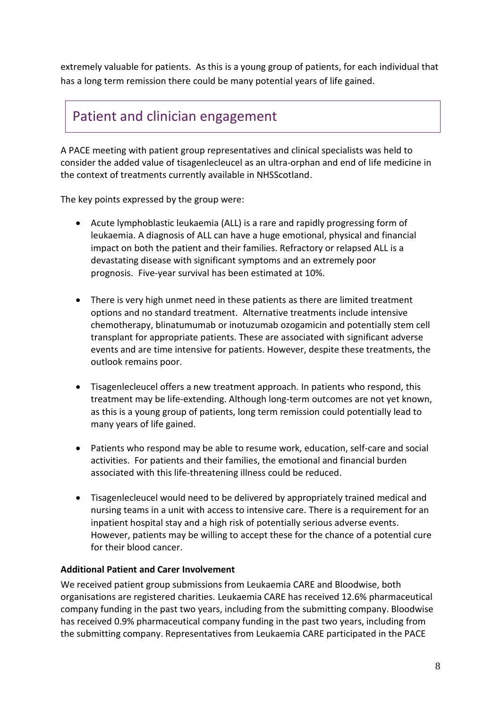extremely valuable for patients. As this is a young group of patients, for each individual that has a long term remission there could be many potential years of life gained.

### Patient and clinician engagement

A PACE meeting with patient group representatives and clinical specialists was held to consider the added value of tisagenlecleucel as an ultra-orphan and end of life medicine in the context of treatments currently available in NHSScotland.

The key points expressed by the group were:

- Acute lymphoblastic leukaemia (ALL) is a rare and rapidly progressing form of leukaemia. A diagnosis of ALL can have a huge emotional, physical and financial impact on both the patient and their families. Refractory or relapsed ALL is a devastating disease with significant symptoms and an extremely poor prognosis. Five-year survival has been estimated at 10%.
- There is very high unmet need in these patients as there are limited treatment options and no standard treatment. Alternative treatments include intensive chemotherapy, blinatumumab or inotuzumab ozogamicin and potentially stem cell transplant for appropriate patients. These are associated with significant adverse events and are time intensive for patients. However, despite these treatments, the outlook remains poor.
- Tisagenlecleucel offers a new treatment approach. In patients who respond, this treatment may be life-extending. Although long-term outcomes are not yet known, as this is a young group of patients, long term remission could potentially lead to many years of life gained.
- Patients who respond may be able to resume work, education, self-care and social activities. For patients and their families, the emotional and financial burden associated with this life-threatening illness could be reduced.
- Tisagenlecleucel would need to be delivered by appropriately trained medical and nursing teams in a unit with access to intensive care. There is a requirement for an inpatient hospital stay and a high risk of potentially serious adverse events. However, patients may be willing to accept these for the chance of a potential cure for their blood cancer.

### **Additional Patient and Carer Involvement**

We received patient group submissions from Leukaemia CARE and Bloodwise, both organisations are registered charities. Leukaemia CARE has received 12.6% pharmaceutical company funding in the past two years, including from the submitting company. Bloodwise has received 0.9% pharmaceutical company funding in the past two years, including from the submitting company. Representatives from Leukaemia CARE participated in the PACE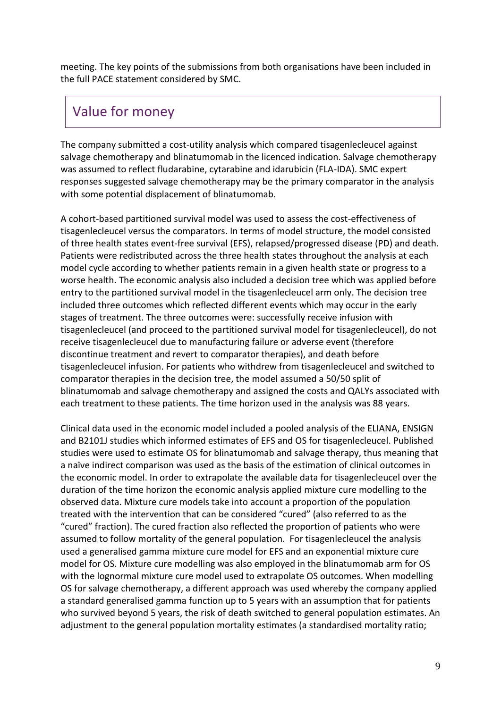meeting. The key points of the submissions from both organisations have been included in the full PACE statement considered by SMC.

# Value for money

The company submitted a cost-utility analysis which compared tisagenlecleucel against salvage chemotherapy and blinatumomab in the licenced indication. Salvage chemotherapy was assumed to reflect fludarabine, cytarabine and idarubicin (FLA-IDA). SMC expert responses suggested salvage chemotherapy may be the primary comparator in the analysis with some potential displacement of blinatumomab.

A cohort-based partitioned survival model was used to assess the cost-effectiveness of tisagenlecleucel versus the comparators. In terms of model structure, the model consisted of three health states event-free survival (EFS), relapsed/progressed disease (PD) and death. Patients were redistributed across the three health states throughout the analysis at each model cycle according to whether patients remain in a given health state or progress to a worse health. The economic analysis also included a decision tree which was applied before entry to the partitioned survival model in the tisagenlecleucel arm only. The decision tree included three outcomes which reflected different events which may occur in the early stages of treatment. The three outcomes were: successfully receive infusion with tisagenlecleucel (and proceed to the partitioned survival model for tisagenlecleucel), do not receive tisagenlecleucel due to manufacturing failure or adverse event (therefore discontinue treatment and revert to comparator therapies), and death before tisagenlecleucel infusion. For patients who withdrew from tisagenlecleucel and switched to comparator therapies in the decision tree, the model assumed a 50/50 split of blinatumomab and salvage chemotherapy and assigned the costs and QALYs associated with each treatment to these patients. The time horizon used in the analysis was 88 years.

Clinical data used in the economic model included a pooled analysis of the ELIANA, ENSIGN and B2101J studies which informed estimates of EFS and OS for tisagenlecleucel. Published studies were used to estimate OS for blinatumomab and salvage therapy, thus meaning that a naïve indirect comparison was used as the basis of the estimation of clinical outcomes in the economic model. In order to extrapolate the available data for tisagenlecleucel over the duration of the time horizon the economic analysis applied mixture cure modelling to the observed data. Mixture cure models take into account a proportion of the population treated with the intervention that can be considered "cured" (also referred to as the "cured" fraction). The cured fraction also reflected the proportion of patients who were assumed to follow mortality of the general population. For tisagenlecleucel the analysis used a generalised gamma mixture cure model for EFS and an exponential mixture cure model for OS. Mixture cure modelling was also employed in the blinatumomab arm for OS with the lognormal mixture cure model used to extrapolate OS outcomes. When modelling OS for salvage chemotherapy, a different approach was used whereby the company applied a standard generalised gamma function up to 5 years with an assumption that for patients who survived beyond 5 years, the risk of death switched to general population estimates. An adjustment to the general population mortality estimates (a standardised mortality ratio;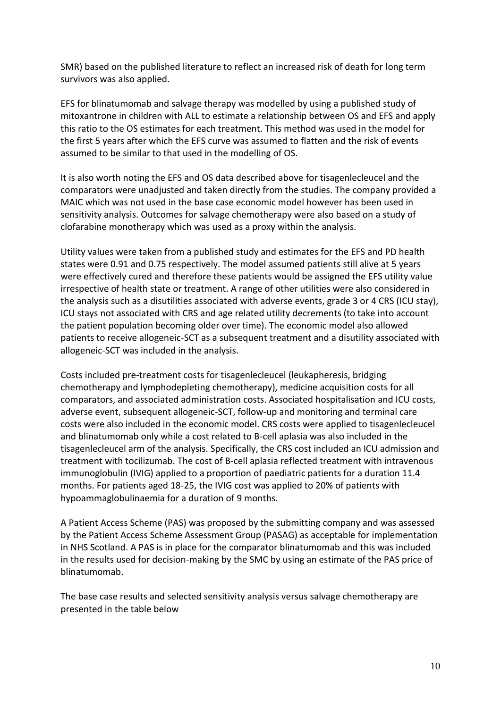SMR) based on the published literature to reflect an increased risk of death for long term survivors was also applied.

EFS for blinatumomab and salvage therapy was modelled by using a published study of mitoxantrone in children with ALL to estimate a relationship between OS and EFS and apply this ratio to the OS estimates for each treatment. This method was used in the model for the first 5 years after which the EFS curve was assumed to flatten and the risk of events assumed to be similar to that used in the modelling of OS.

It is also worth noting the EFS and OS data described above for tisagenlecleucel and the comparators were unadjusted and taken directly from the studies. The company provided a MAIC which was not used in the base case economic model however has been used in sensitivity analysis. Outcomes for salvage chemotherapy were also based on a study of clofarabine monotherapy which was used as a proxy within the analysis.

Utility values were taken from a published study and estimates for the EFS and PD health states were 0.91 and 0.75 respectively. The model assumed patients still alive at 5 years were effectively cured and therefore these patients would be assigned the EFS utility value irrespective of health state or treatment. A range of other utilities were also considered in the analysis such as a disutilities associated with adverse events, grade 3 or 4 CRS (ICU stay), ICU stays not associated with CRS and age related utility decrements (to take into account the patient population becoming older over time). The economic model also allowed patients to receive allogeneic-SCT as a subsequent treatment and a disutility associated with allogeneic-SCT was included in the analysis.

Costs included pre-treatment costs for tisagenlecleucel (leukapheresis, bridging chemotherapy and lymphodepleting chemotherapy), medicine acquisition costs for all comparators, and associated administration costs. Associated hospitalisation and ICU costs, adverse event, subsequent allogeneic-SCT, follow-up and monitoring and terminal care costs were also included in the economic model. CRS costs were applied to tisagenlecleucel and blinatumomab only while a cost related to B-cell aplasia was also included in the tisagenlecleucel arm of the analysis. Specifically, the CRS cost included an ICU admission and treatment with tocilizumab. The cost of B-cell aplasia reflected treatment with intravenous immunoglobulin (IVIG) applied to a proportion of paediatric patients for a duration 11.4 months. For patients aged 18-25, the IVIG cost was applied to 20% of patients with hypoammaglobulinaemia for a duration of 9 months.

A Patient Access Scheme (PAS) was proposed by the submitting company and was assessed by the Patient Access Scheme Assessment Group (PASAG) as acceptable for implementation in NHS Scotland. A PAS is in place for the comparator blinatumomab and this was included in the results used for decision-making by the SMC by using an estimate of the PAS price of blinatumomab.

The base case results and selected sensitivity analysis versus salvage chemotherapy are presented in the table below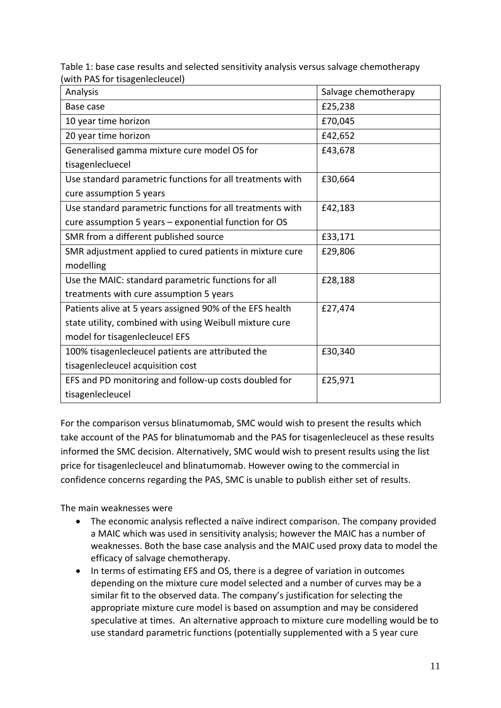Table 1: base case results and selected sensitivity analysis versus salvage chemotherapy (with PAS for tisagenlecleucel)

| Analysis                                                  | Salvage chemotherapy |
|-----------------------------------------------------------|----------------------|
| Base case                                                 | £25,238              |
| 10 year time horizon                                      | £70,045              |
| 20 year time horizon                                      | £42,652              |
| Generalised gamma mixture cure model OS for               | £43,678              |
| tisagenlecluecel                                          |                      |
| Use standard parametric functions for all treatments with | £30,664              |
| cure assumption 5 years                                   |                      |
| Use standard parametric functions for all treatments with | £42,183              |
| cure assumption 5 years - exponential function for OS     |                      |
| SMR from a different published source                     | £33,171              |
| SMR adjustment applied to cured patients in mixture cure  | £29,806              |
| modelling                                                 |                      |
| Use the MAIC: standard parametric functions for all       | £28,188              |
| treatments with cure assumption 5 years                   |                      |
| Patients alive at 5 years assigned 90% of the EFS health  | £27,474              |
| state utility, combined with using Weibull mixture cure   |                      |
| model for tisagenlecleucel EFS                            |                      |
| 100% tisagenlecleucel patients are attributed the         | £30,340              |
| tisagenlecleucel acquisition cost                         |                      |
| EFS and PD monitoring and follow-up costs doubled for     | £25,971              |
| tisagenlecleucel                                          |                      |

For the comparison versus blinatumomab, SMC would wish to present the results which take account of the PAS for blinatumomab and the PAS for tisagenlecleucel as these results informed the SMC decision. Alternatively, SMC would wish to present results using the list price for tisagenlecleucel and blinatumomab. However owing to the commercial in confidence concerns regarding the PAS, SMC is unable to publish either set of results.

The main weaknesses were

- The economic analysis reflected a naïve indirect comparison. The company provided a MAIC which was used in sensitivity analysis; however the MAIC has a number of weaknesses. Both the base case analysis and the MAIC used proxy data to model the efficacy of salvage chemotherapy.
- In terms of estimating EFS and OS, there is a degree of variation in outcomes depending on the mixture cure model selected and a number of curves may be a similar fit to the observed data. The company's justification for selecting the appropriate mixture cure model is based on assumption and may be considered speculative at times. An alternative approach to mixture cure modelling would be to use standard parametric functions (potentially supplemented with a 5 year cure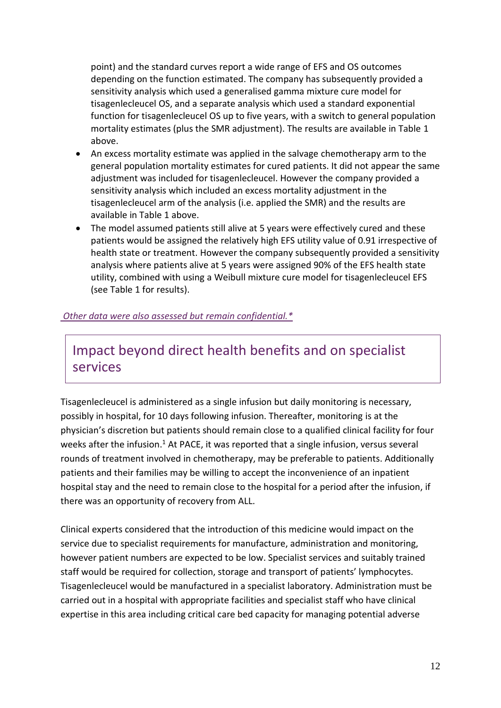point) and the standard curves report a wide range of EFS and OS outcomes depending on the function estimated. The company has subsequently provided a sensitivity analysis which used a generalised gamma mixture cure model for tisagenlecleucel OS, and a separate analysis which used a standard exponential function for tisagenlecleucel OS up to five years, with a switch to general population mortality estimates (plus the SMR adjustment). The results are available in Table 1 above.

- An excess mortality estimate was applied in the salvage chemotherapy arm to the general population mortality estimates for cured patients. It did not appear the same adjustment was included for tisagenlecleucel. However the company provided a sensitivity analysis which included an excess mortality adjustment in the tisagenlecleucel arm of the analysis (i.e. applied the SMR) and the results are available in Table 1 above.
- The model assumed patients still alive at 5 years were effectively cured and these patients would be assigned the relatively high EFS utility value of 0.91 irrespective of health state or treatment. However the company subsequently provided a sensitivity analysis where patients alive at 5 years were assigned 90% of the EFS health state utility, combined with using a Weibull mixture cure model for tisagenlecleucel EFS (see Table 1 for results).

#### *[Other data were also assessed but remain confidential.\\*](https://www.scottishmedicines.org.uk/media/3572/20180710-release-of-company-data.pdf)*

### Impact beyond direct health benefits and on specialist services

Tisagenlecleucel is administered as a single infusion but daily monitoring is necessary, possibly in hospital, for 10 days following infusion. Thereafter, monitoring is at the physician's discretion but patients should remain close to a qualified clinical facility for four weeks after the infusion.<sup>1</sup> At PACE, it was reported that a single infusion, versus several rounds of treatment involved in chemotherapy, may be preferable to patients. Additionally patients and their families may be willing to accept the inconvenience of an inpatient hospital stay and the need to remain close to the hospital for a period after the infusion, if there was an opportunity of recovery from ALL.

Clinical experts considered that the introduction of this medicine would impact on the service due to specialist requirements for manufacture, administration and monitoring, however patient numbers are expected to be low. Specialist services and suitably trained staff would be required for collection, storage and transport of patients' lymphocytes. Tisagenlecleucel would be manufactured in a specialist laboratory. Administration must be carried out in a hospital with appropriate facilities and specialist staff who have clinical expertise in this area including critical care bed capacity for managing potential adverse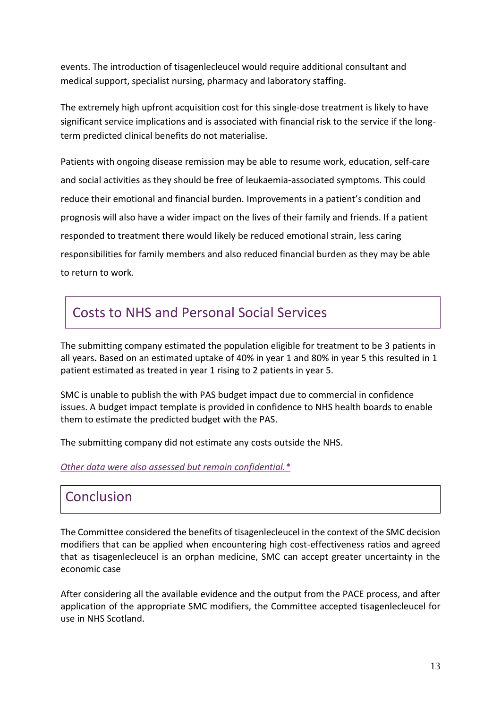events. The introduction of tisagenlecleucel would require additional consultant and medical support, specialist nursing, pharmacy and laboratory staffing.

The extremely high upfront acquisition cost for this single-dose treatment is likely to have significant service implications and is associated with financial risk to the service if the longterm predicted clinical benefits do not materialise.

Patients with ongoing disease remission may be able to resume work, education, self-care and social activities as they should be free of leukaemia‐associated symptoms. This could reduce their emotional and financial burden. Improvements in a patient's condition and prognosis will also have a wider impact on the lives of their family and friends. If a patient responded to treatment there would likely be reduced emotional strain, less caring responsibilities for family members and also reduced financial burden as they may be able to return to work.

### Costs to NHS and Personal Social Services

The submitting company estimated the population eligible for treatment to be 3 patients in all years**.** Based on an estimated uptake of 40% in year 1 and 80% in year 5 this resulted in 1 patient estimated as treated in year 1 rising to 2 patients in year 5.

SMC is unable to publish the with PAS budget impact due to commercial in confidence issues. A budget impact template is provided in confidence to NHS health boards to enable them to estimate the predicted budget with the PAS.

The submitting company did not estimate any costs outside the NHS.

*[Other data were also assessed but remain confidential.\\*](https://www.scottishmedicines.org.uk/media/3572/20180710-release-of-company-data.pdf)*

### **Conclusion**

The Committee considered the benefits of tisagenlecleucel in the context of the SMC decision modifiers that can be applied when encountering high cost-effectiveness ratios and agreed that as tisagenlecleucel is an orphan medicine, SMC can accept greater uncertainty in the economic case

After considering all the available evidence and the output from the PACE process, and after application of the appropriate SMC modifiers, the Committee accepted tisagenlecleucel for use in NHS Scotland.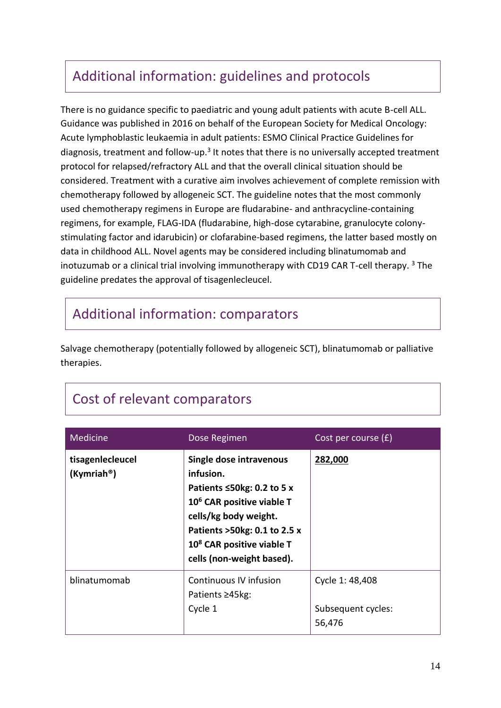# Additional information: guidelines and protocols

There is no guidance specific to paediatric and young adult patients with acute B-cell ALL. Guidance was published in 2016 on behalf of the European Society for Medical Oncology: Acute lymphoblastic leukaemia in adult patients: ESMO Clinical Practice Guidelines for diagnosis, treatment and follow-up.<sup>3</sup> It notes that there is no universally accepted treatment protocol for relapsed/refractory ALL and that the overall clinical situation should be considered. Treatment with a curative aim involves achievement of complete remission with chemotherapy followed by allogeneic SCT. The guideline notes that the most commonly used chemotherapy regimens in Europe are fludarabine- and anthracycline-containing regimens, for example, FLAG-IDA (fludarabine, high-dose cytarabine, granulocyte colonystimulating factor and idarubicin) or clofarabine-based regimens, the latter based mostly on data in childhood ALL. Novel agents may be considered including blinatumomab and inotuzumab or a clinical trial involving immunotherapy with CD19 CAR T-cell therapy.  $3$  The guideline predates the approval of tisagenlecleucel.

### Additional information: comparators

Salvage chemotherapy (potentially followed by allogeneic SCT), blinatumomab or palliative therapies.

# Cost of relevant comparators

| Medicine                                    | Dose Regimen                                                                                                                                                                                                                                     | Cost per course $(f)$                           |
|---------------------------------------------|--------------------------------------------------------------------------------------------------------------------------------------------------------------------------------------------------------------------------------------------------|-------------------------------------------------|
| tisagenlecleucel<br>(Kymriah <sup>®</sup> ) | Single dose intravenous<br>infusion.<br>Patients $\leq$ 50kg: 0.2 to 5 x<br>10 <sup>6</sup> CAR positive viable T<br>cells/kg body weight.<br>Patients >50kg: 0.1 to 2.5 x<br>10 <sup>8</sup> CAR positive viable T<br>cells (non-weight based). | 282,000                                         |
| blinatumomab                                | Continuous IV infusion<br>Patients ≥45kg:<br>Cycle 1                                                                                                                                                                                             | Cycle 1: 48,408<br>Subsequent cycles:<br>56,476 |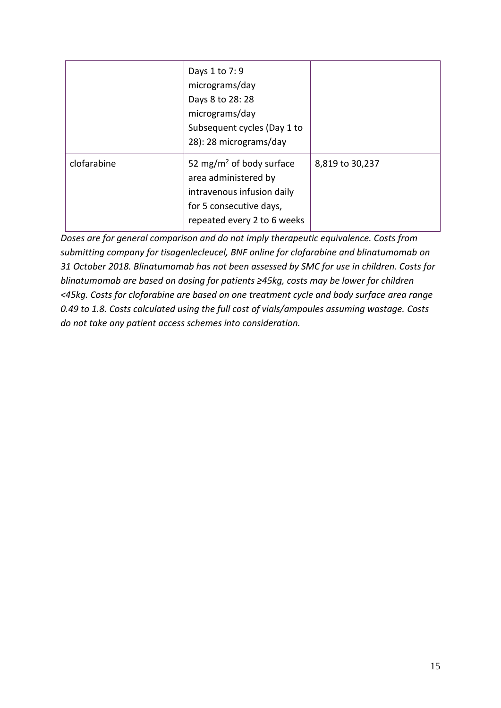|             | Days 1 to 7: 9<br>micrograms/day<br>Days 8 to 28:28<br>micrograms/day<br>Subsequent cycles (Day 1 to<br>28): 28 micrograms/day                       |                 |
|-------------|------------------------------------------------------------------------------------------------------------------------------------------------------|-----------------|
| clofarabine | 52 mg/m <sup>2</sup> of body surface<br>area administered by<br>intravenous infusion daily<br>for 5 consecutive days,<br>repeated every 2 to 6 weeks | 8,819 to 30,237 |

*Doses are for general comparison and do not imply therapeutic equivalence. Costs from submitting company for tisagenlecleucel, BNF online for clofarabine and blinatumomab on 31 October 2018. Blinatumomab has not been assessed by SMC for use in children. Costs for blinatumomab are based on dosing for patients ≥45kg, costs may be lower for children <45kg. Costs for clofarabine are based on one treatment cycle and body surface area range 0.49 to 1.8. Costs calculated using the full cost of vials/ampoules assuming wastage. Costs do not take any patient access schemes into consideration.*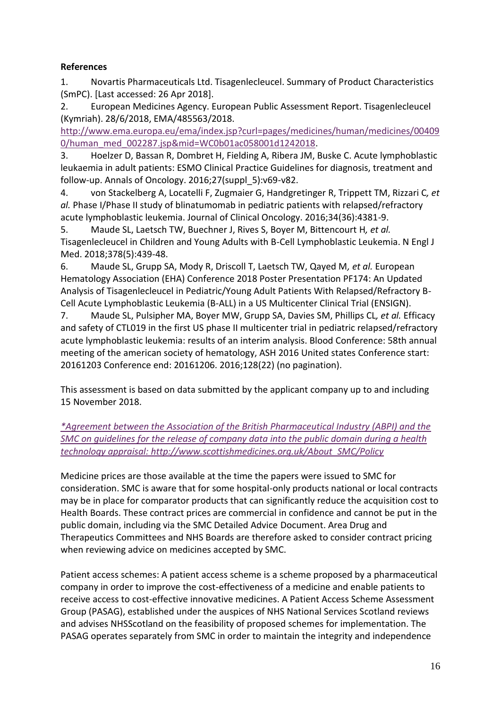### **References**

1. Novartis Pharmaceuticals Ltd. Tisagenlecleucel. Summary of Product Characteristics (SmPC). [Last accessed: 26 Apr 2018].

2. European Medicines Agency. European Public Assessment Report. Tisagenlecleucel (Kymriah). 28/6/2018, EMA/485563/2018.

[http://www.ema.europa.eu/ema/index.jsp?curl=pages/medicines/human/medicines/00409](http://www.ema.europa.eu/ema/index.jsp?curl=pages/medicines/human/medicines/004090/human_med_002287.jsp&mid=WC0b01ac058001d1242018) [0/human\\_med\\_002287.jsp&mid=WC0b01ac058001d1242018.](http://www.ema.europa.eu/ema/index.jsp?curl=pages/medicines/human/medicines/004090/human_med_002287.jsp&mid=WC0b01ac058001d1242018)

3. Hoelzer D, Bassan R, Dombret H, Fielding A, Ribera JM, Buske C. Acute lymphoblastic leukaemia in adult patients: ESMO Clinical Practice Guidelines for diagnosis, treatment and follow-up. Annals of Oncology. 2016;27(suppl\_5):v69-v82.

4. von Stackelberg A, Locatelli F, Zugmaier G, Handgretinger R, Trippett TM, Rizzari C*, et al.* Phase I/Phase II study of blinatumomab in pediatric patients with relapsed/refractory acute lymphoblastic leukemia. Journal of Clinical Oncology. 2016;34(36):4381-9.

5. Maude SL, Laetsch TW, Buechner J, Rives S, Boyer M, Bittencourt H*, et al.* Tisagenlecleucel in Children and Young Adults with B-Cell Lymphoblastic Leukemia. N Engl J Med. 2018;378(5):439-48.

6. Maude SL, Grupp SA, Mody R, Driscoll T, Laetsch TW, Qayed M*, et al.* European Hematology Association (EHA) Conference 2018 Poster Presentation PF174: An Updated Analysis of Tisagenlecleucel in Pediatric/Young Adult Patients With Relapsed/Refractory B-Cell Acute Lymphoblastic Leukemia (B-ALL) in a US Multicenter Clinical Trial (ENSIGN).

7. Maude SL, Pulsipher MA, Boyer MW, Grupp SA, Davies SM, Phillips CL*, et al.* Efficacy and safety of CTL019 in the first US phase II multicenter trial in pediatric relapsed/refractory acute lymphoblastic leukemia: results of an interim analysis. Blood Conference: 58th annual meeting of the american society of hematology, ASH 2016 United states Conference start: 20161203 Conference end: 20161206. 2016;128(22) (no pagination).

This assessment is based on data submitted by the applicant company up to and including 15 November 2018.

*[\\*Agreement between the Association of the British Pharmaceutical Industry \(ABPI\) and the](https://www.scottishmedicines.org.uk/media/3572/20180710-release-of-company-data.pdf)  [SMC on guidelines for the release of company data into the public domain during a health](https://www.scottishmedicines.org.uk/media/3572/20180710-release-of-company-data.pdf)  [technology appraisal: http://www.scottishmedicines.org.uk/About\\_SMC/Policy](https://www.scottishmedicines.org.uk/media/3572/20180710-release-of-company-data.pdf)*

Medicine prices are those available at the time the papers were issued to SMC for consideration. SMC is aware that for some hospital-only products national or local contracts may be in place for comparator products that can significantly reduce the acquisition cost to Health Boards. These contract prices are commercial in confidence and cannot be put in the public domain, including via the SMC Detailed Advice Document. Area Drug and Therapeutics Committees and NHS Boards are therefore asked to consider contract pricing when reviewing advice on medicines accepted by SMC.

Patient access schemes: A patient access scheme is a scheme proposed by a pharmaceutical company in order to improve the cost-effectiveness of a medicine and enable patients to receive access to cost-effective innovative medicines. A Patient Access Scheme Assessment Group (PASAG), established under the auspices of NHS National Services Scotland reviews and advises NHSScotland on the feasibility of proposed schemes for implementation. The PASAG operates separately from SMC in order to maintain the integrity and independence